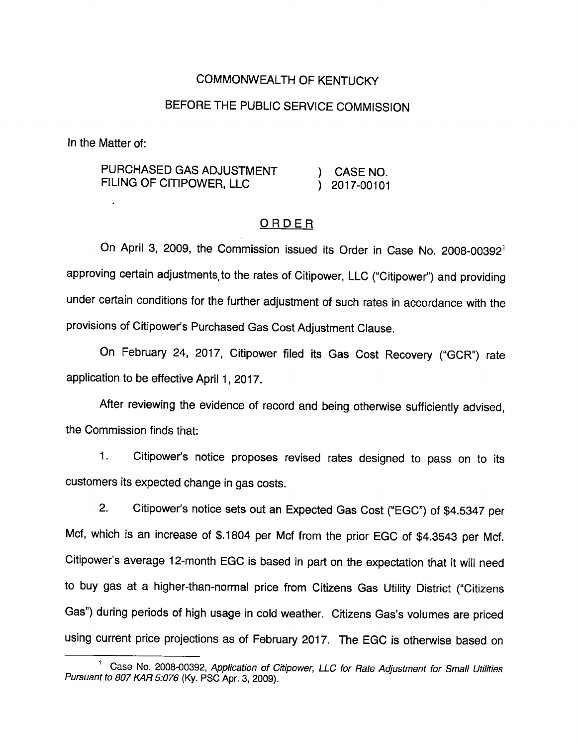## COMMONWEALTH OF KENTUCKY

# BEFORE THE PUBLIC SERVICE COMMISSION

In the Matter of:

PURCHASED GAS ADJUSTMENT (CASE NO. FILING OF CITIPOWER, LLC (2017-00101)

### ORDER

On April 3, 2009, the Commission issued its Order in Case No. 2008-00392<sup>1</sup> approving certain adjustments to the rates of Citipower, LLC ("Citipower") and providing under certain conditions for the further adjustment of such rates in accordance with the provisions of Citipower's Purchased Gas Cost Adjustment Clause.

On February 24, 2017, Citipower filed its Gas Cost Recovery ("GCR") rate application to be effective April 1, 2017.

After reviewing the evidence of record and being otherwise sufficiently advised, the Commission finds that:

1. Citipower's notice proposes revised rates designed to pass on to its customers its expected change in gas costs.

2. Citipower's notice sets out an Expected Gas Cost ("EGC") of \$4.5347 per Mcf, which is an increase of \$.1804 per Mcf from the prior EGC of \$4.3543 per Mcf. Citipower's average 12-month EGC is based in part on the expectation that it will need to buy gas at a higher-than-normal price from Citizens Gas Utility District ("Citizens Gas") during periods of high usage in cold weather. Citizens Gas's volumes are priced using current price projections as of February 2017. The EGC is otherwise based on

<sup>&</sup>lt;sup>1</sup> Case No. 2008-00392, Application of Citipower, LLC for Rate Adjustment for Small Utilities Pursuant to 807 KAR 5:076 (Ky. PSC Apr. 3, 2009).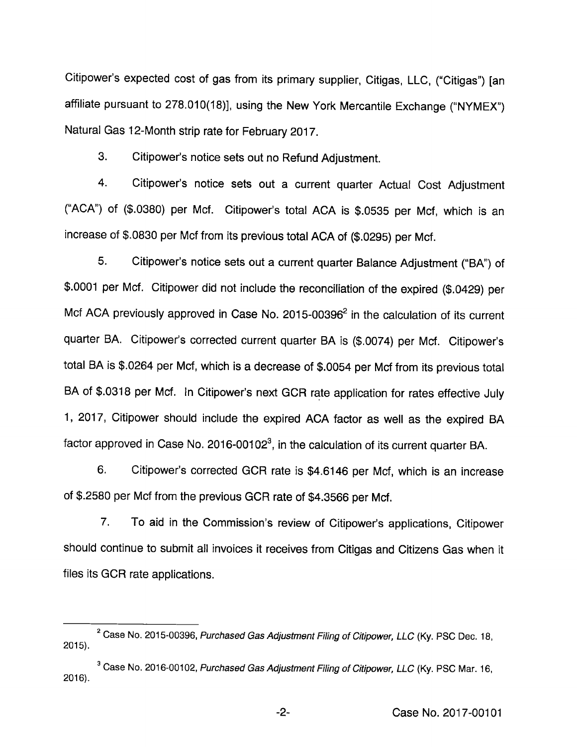Citipower's expected cost of gas from its primary supplier, Citigas, LLC, ("Citigas") [an affiliate pursuant to 278.010(18)], using the New York Mercantile Exchange ("NYMEX") Natural Gas 12-Month strip rate for February 2017.

3. Citipower's notice sets out no Refund Adjustment.

4. Citipower's notice sets out a current quarter Actual Cost Adjustment ("ACA") of (\$.0380) per Mcf. Citipower's total ACA is \$.0535 per Mcf, which is an increase of \$.0830 per Mcf from its previous total ACA of (\$.0295) per Mcf.

5. Citipower's notice sets out a current quarter Balance Adjustment ("BA") of \$.0001 per Mcf. Citipower did not include the reconciliation of the expired (\$.0429) per Mcf ACA previously approved in Case No. 2015-00396<sup>2</sup> in the calculation of its current quarter BA. Citipower's corrected current quarter BA is (\$.0074) per Mcf. Citipower's total BA is \$.0264 per Mcf, which is a decrease of \$.0054 per Mcf from its previous total BA of \$.0318 per Mcf. In Citipower's next GCR rate application for rates effective July 1, 2017, Citipower should include the expired ACA factor as well as the expired BA factor approved in Case No. 2016-00102 $^3$ , in the calculation of its current quarter BA.

6. Citipower's corrected OCR rate is \$4.6146 per Mcf, which is an increase of\$.2580 per Mcf from the previous OCR rate of \$4.3566 per Mcf.

7. To aid in the Commission's review of Citipower's applications, Citipower should continue to submit all invoices it receives from Citigas and Citizens Gas when it files its GCR rate applications.

 $2^2$  Case No. 2015-00396, Purchased Gas Adjustment Filing of Citipower, LLC (Ky. PSC Dec. 18, 2015).

<sup>&</sup>lt;sup>3</sup> Case No. 2016-00102, Purchased Gas Adjustment Filing of Citipower, LLC (Ky. PSC Mar. 16, 2016).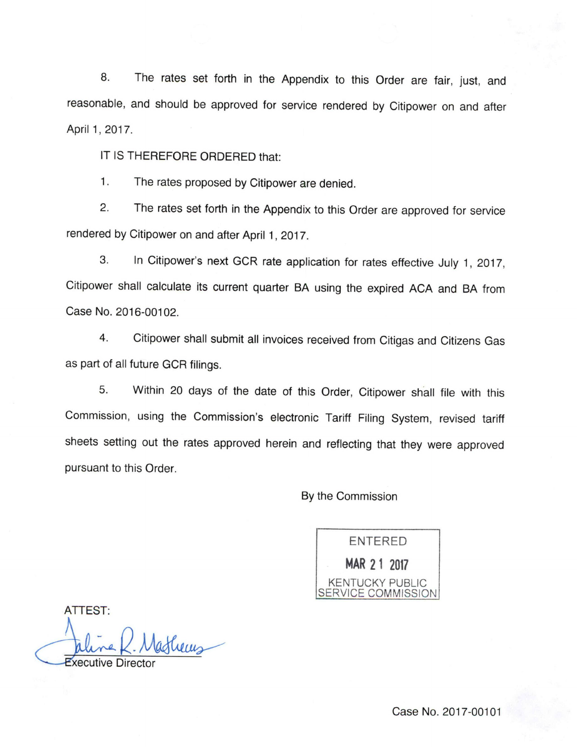8. The rates set forth in the Appendix to this Order are fair, just, and reasonable, and should be approved for service rendered by Citipower on and after April 1, 2017.

IT IS THEREFORE ORDERED that;

1. The rates proposed by Citipower are denied.

2. The rates set forth in the Appendix to this Order are approved for service rendered by Citipower on and after April 1, 2017.

3. In Citipower's next OCR rate application for rates effective July 1, 2017, Citipower shall calculate its current quarter BA using the expired ACA and BA from Case No. 2016-00102.

4. Citipower shall submit all invoices received from Citigas and Citizens Gas as part of all future GCR filings.

5. Within 20 days of the date of this Order, Citipower shall file with this Commission, using the Commission's electronic Tariff Filing System, revised tariff sheets setting out the rates approved herein and reflecting that they were approved pursuant to this Order.

By the Commission



ATTEST:

thems

xecutive Director

Case No. 2017-00101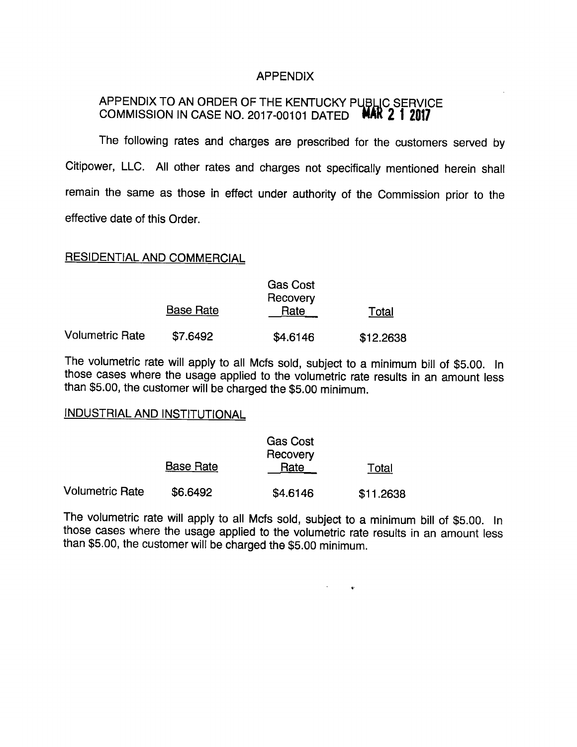### APPENDIX

## APPENDIX TO AN ORDER OF THE KENTUCKY PUBLIC SERVICE COMMISSION IN CASE NO. 2017-00101 DATED **MAR 2 1 2017**

The following rates and charges are prescribed for the customers served by Citipower, LLC. All other rates and charges not specifically mentioned herein shall remain the same as those in effect under authority of the Commission prior to the effective date of this Order.

#### RESIDENTIAL AND COMMERCIAL

|                 | <b>Gas Cost</b><br>Recovery |          |           |  |
|-----------------|-----------------------------|----------|-----------|--|
|                 | <b>Base Rate</b>            | Rate     | Total     |  |
| Volumetric Rate | \$7.6492                    | \$4.6146 | \$12.2638 |  |

The volumetric rate will apply to all Mcfs sold, subject to a minimum bill of \$5.00. In those cases where the usage applied to the volumetric rate results in an amount less than \$5.00, the customer will be charged the \$5.00 minimum.

#### INDUSTRIAL AND INSTITUTIONAL

|                        | <b>Gas Cost</b><br>Recovery |          |           |  |
|------------------------|-----------------------------|----------|-----------|--|
|                        | <b>Base Rate</b>            | Rate     | Total     |  |
| <b>Volumetric Rate</b> | \$6.6492                    | \$4.6146 | \$11.2638 |  |

The volumetric rate will apply to all Mcfs sold, subject to a minimum bill of \$5.00. In those cases where the usage applied to the volumetric rate results in an amount less than \$5.00, the customer will be charged the \$5.00 minimum.

 $\mathcal{H}^{\text{max}}(\mathcal{A})$  . The  $\mathcal{A}$